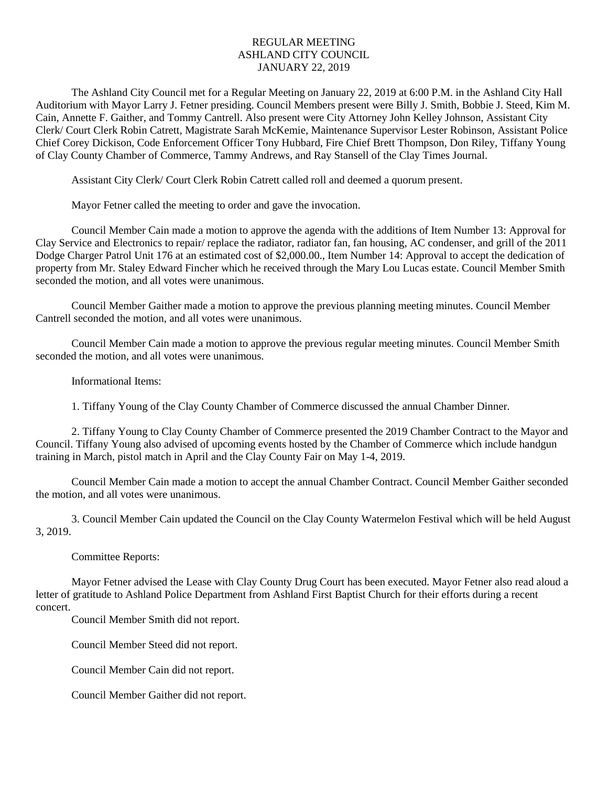## REGULAR MEETING ASHLAND CITY COUNCIL JANUARY 22, 2019

The Ashland City Council met for a Regular Meeting on January 22, 2019 at 6:00 P.M. in the Ashland City Hall Auditorium with Mayor Larry J. Fetner presiding. Council Members present were Billy J. Smith, Bobbie J. Steed, Kim M. Cain, Annette F. Gaither, and Tommy Cantrell. Also present were City Attorney John Kelley Johnson, Assistant City Clerk/ Court Clerk Robin Catrett, Magistrate Sarah McKemie, Maintenance Supervisor Lester Robinson, Assistant Police Chief Corey Dickison, Code Enforcement Officer Tony Hubbard, Fire Chief Brett Thompson, Don Riley, Tiffany Young of Clay County Chamber of Commerce, Tammy Andrews, and Ray Stansell of the Clay Times Journal.

Assistant City Clerk/ Court Clerk Robin Catrett called roll and deemed a quorum present.

Mayor Fetner called the meeting to order and gave the invocation.

Council Member Cain made a motion to approve the agenda with the additions of Item Number 13: Approval for Clay Service and Electronics to repair/ replace the radiator, radiator fan, fan housing, AC condenser, and grill of the 2011 Dodge Charger Patrol Unit 176 at an estimated cost of \$2,000.00., Item Number 14: Approval to accept the dedication of property from Mr. Staley Edward Fincher which he received through the Mary Lou Lucas estate. Council Member Smith seconded the motion, and all votes were unanimous.

Council Member Gaither made a motion to approve the previous planning meeting minutes. Council Member Cantrell seconded the motion, and all votes were unanimous.

Council Member Cain made a motion to approve the previous regular meeting minutes. Council Member Smith seconded the motion, and all votes were unanimous.

Informational Items:

1. Tiffany Young of the Clay County Chamber of Commerce discussed the annual Chamber Dinner.

2. Tiffany Young to Clay County Chamber of Commerce presented the 2019 Chamber Contract to the Mayor and Council. Tiffany Young also advised of upcoming events hosted by the Chamber of Commerce which include handgun training in March, pistol match in April and the Clay County Fair on May 1-4, 2019.

Council Member Cain made a motion to accept the annual Chamber Contract. Council Member Gaither seconded the motion, and all votes were unanimous.

3. Council Member Cain updated the Council on the Clay County Watermelon Festival which will be held August 3, 2019.

Committee Reports:

Mayor Fetner advised the Lease with Clay County Drug Court has been executed. Mayor Fetner also read aloud a letter of gratitude to Ashland Police Department from Ashland First Baptist Church for their efforts during a recent concert.

Council Member Smith did not report.

Council Member Steed did not report.

Council Member Cain did not report.

Council Member Gaither did not report.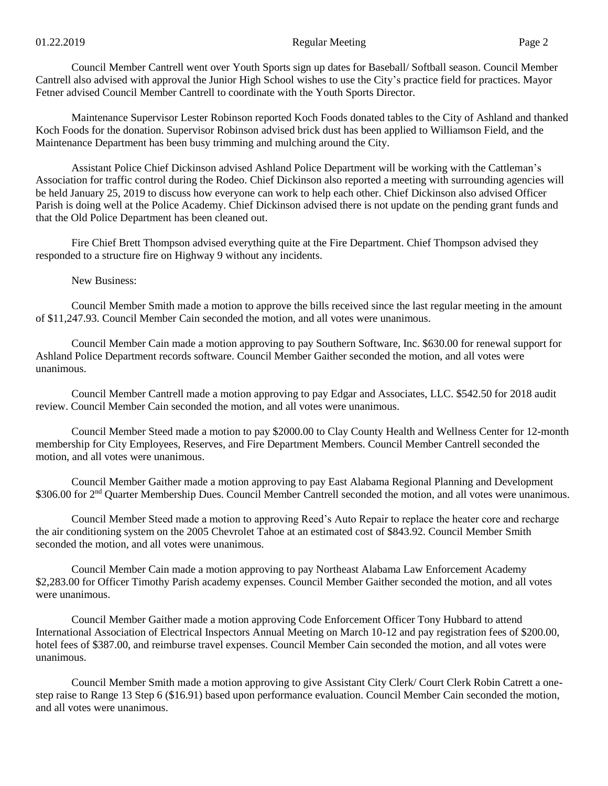Council Member Cantrell went over Youth Sports sign up dates for Baseball/ Softball season. Council Member Cantrell also advised with approval the Junior High School wishes to use the City's practice field for practices. Mayor Fetner advised Council Member Cantrell to coordinate with the Youth Sports Director.

Maintenance Supervisor Lester Robinson reported Koch Foods donated tables to the City of Ashland and thanked Koch Foods for the donation. Supervisor Robinson advised brick dust has been applied to Williamson Field, and the Maintenance Department has been busy trimming and mulching around the City.

Assistant Police Chief Dickinson advised Ashland Police Department will be working with the Cattleman's Association for traffic control during the Rodeo. Chief Dickinson also reported a meeting with surrounding agencies will be held January 25, 2019 to discuss how everyone can work to help each other. Chief Dickinson also advised Officer Parish is doing well at the Police Academy. Chief Dickinson advised there is not update on the pending grant funds and that the Old Police Department has been cleaned out.

Fire Chief Brett Thompson advised everything quite at the Fire Department. Chief Thompson advised they responded to a structure fire on Highway 9 without any incidents.

New Business:

Council Member Smith made a motion to approve the bills received since the last regular meeting in the amount of \$11,247.93. Council Member Cain seconded the motion, and all votes were unanimous.

Council Member Cain made a motion approving to pay Southern Software, Inc. \$630.00 for renewal support for Ashland Police Department records software. Council Member Gaither seconded the motion, and all votes were unanimous.

Council Member Cantrell made a motion approving to pay Edgar and Associates, LLC. \$542.50 for 2018 audit review. Council Member Cain seconded the motion, and all votes were unanimous.

Council Member Steed made a motion to pay \$2000.00 to Clay County Health and Wellness Center for 12-month membership for City Employees, Reserves, and Fire Department Members. Council Member Cantrell seconded the motion, and all votes were unanimous.

Council Member Gaither made a motion approving to pay East Alabama Regional Planning and Development \$306.00 for 2<sup>nd</sup> Quarter Membership Dues. Council Member Cantrell seconded the motion, and all votes were unanimous.

Council Member Steed made a motion to approving Reed's Auto Repair to replace the heater core and recharge the air conditioning system on the 2005 Chevrolet Tahoe at an estimated cost of \$843.92. Council Member Smith seconded the motion, and all votes were unanimous.

Council Member Cain made a motion approving to pay Northeast Alabama Law Enforcement Academy \$2,283.00 for Officer Timothy Parish academy expenses. Council Member Gaither seconded the motion, and all votes were unanimous.

Council Member Gaither made a motion approving Code Enforcement Officer Tony Hubbard to attend International Association of Electrical Inspectors Annual Meeting on March 10-12 and pay registration fees of \$200.00, hotel fees of \$387.00, and reimburse travel expenses. Council Member Cain seconded the motion, and all votes were unanimous.

Council Member Smith made a motion approving to give Assistant City Clerk/ Court Clerk Robin Catrett a onestep raise to Range 13 Step 6 (\$16.91) based upon performance evaluation. Council Member Cain seconded the motion, and all votes were unanimous.